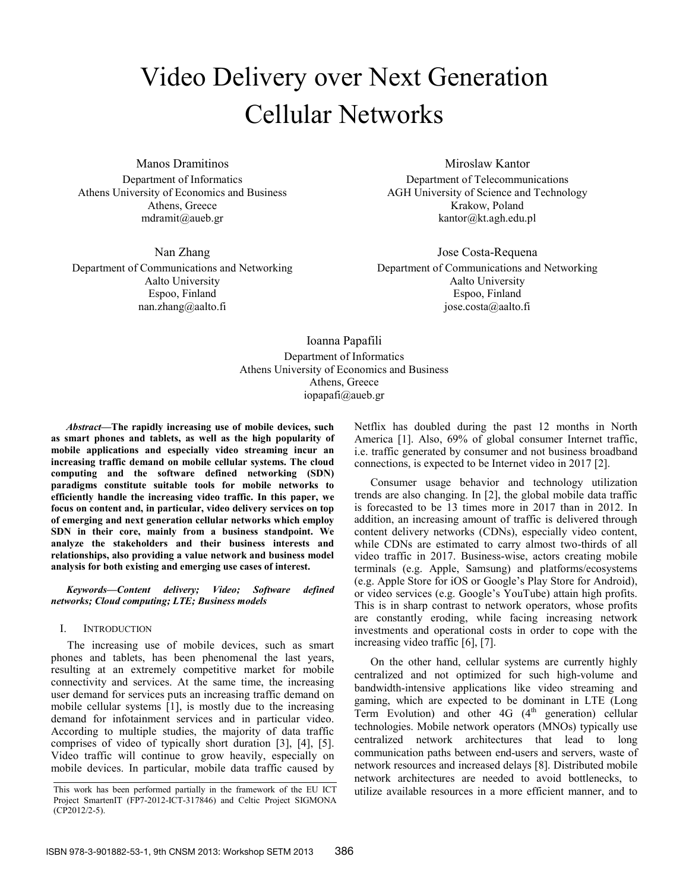# Video Delivery over Next Generation Cellular Networks

Manos Dramitinos Department of Informatics Athens University of Economics and Business Athens, Greece mdramit@aueb.gr

Nan Zhang Department of Communications and Networking Aalto University Espoo, Finland nan.zhang@aalto.fi

Miroslaw Kantor Department of Telecommunications AGH University of Science and Technology Krakow, Poland kantor@kt.agh.edu.pl

Jose Costa-Requena Department of Communications and Networking Aalto University Espoo, Finland jose.costa@aalto.fi

Ioanna Papafili Department of Informatics Athens University of Economics and Business Athens, Greece iopapafi@aueb.gr

*Abstract***—The rapidly increasing use of mobile devices, such as smart phones and tablets, as well as the high popularity of mobile applications and especially video streaming incur an increasing traffic demand on mobile cellular systems. The cloud computing and the software defined networking (SDN) paradigms constitute suitable tools for mobile networks to efficiently handle the increasing video traffic. In this paper, we focus on content and, in particular, video delivery services on top of emerging and next generation cellular networks which employ SDN in their core, mainly from a business standpoint. We analyze the stakeholders and their business interests and relationships, also providing a value network and business model analysis for both existing and emerging use cases of interest.** 

*Keywords—Content delivery; Video; Software defined networks; Cloud computing; LTE; Business models* 

## I. INTRODUCTION

The increasing use of mobile devices, such as smart phones and tablets, has been phenomenal the last years, resulting at an extremely competitive market for mobile connectivity and services. At the same time, the increasing user demand for services puts an increasing traffic demand on mobile cellular systems [1], is mostly due to the increasing demand for infotainment services and in particular video. According to multiple studies, the majority of data traffic comprises of video of typically short duration [3], [4], [5]. Video traffic will continue to grow heavily, especially on mobile devices. In particular, mobile data traffic caused by Netflix has doubled during the past 12 months in North America [1]. Also, 69% of global consumer Internet traffic, i.e. traffic generated by consumer and not business broadband connections, is expected to be Internet video in 2017 [2].

Consumer usage behavior and technology utilization trends are also changing. In [2], the global mobile data traffic is forecasted to be 13 times more in 2017 than in 2012. In addition, an increasing amount of traffic is delivered through content delivery networks (CDNs), especially video content, while CDNs are estimated to carry almost two-thirds of all video traffic in 2017. Business-wise, actors creating mobile terminals (e.g. Apple, Samsung) and platforms/ecosystems (e.g. Apple Store for iOS or Google's Play Store for Android), or video services (e.g. Google's YouTube) attain high profits. This is in sharp contrast to network operators, whose profits are constantly eroding, while facing increasing network investments and operational costs in order to cope with the increasing video traffic [6], [7].

On the other hand, cellular systems are currently highly centralized and not optimized for such high-volume and bandwidth-intensive applications like video streaming and gaming, which are expected to be dominant in LTE (Long Term Evolution) and other  $4G$  ( $4<sup>th</sup>$  generation) cellular technologies. Mobile network operators (MNOs) typically use centralized network architectures that lead to long communication paths between end-users and servers, waste of network resources and increased delays [8]. Distributed mobile network architectures are needed to avoid bottlenecks, to This work has been performed partially in the framework of the EU ICT utilize available resources in a more efficient manner, and to

Project SmartenIT (FP7-2012-ICT-317846) and Celtic Project SIGMONA (CP2012/2-5).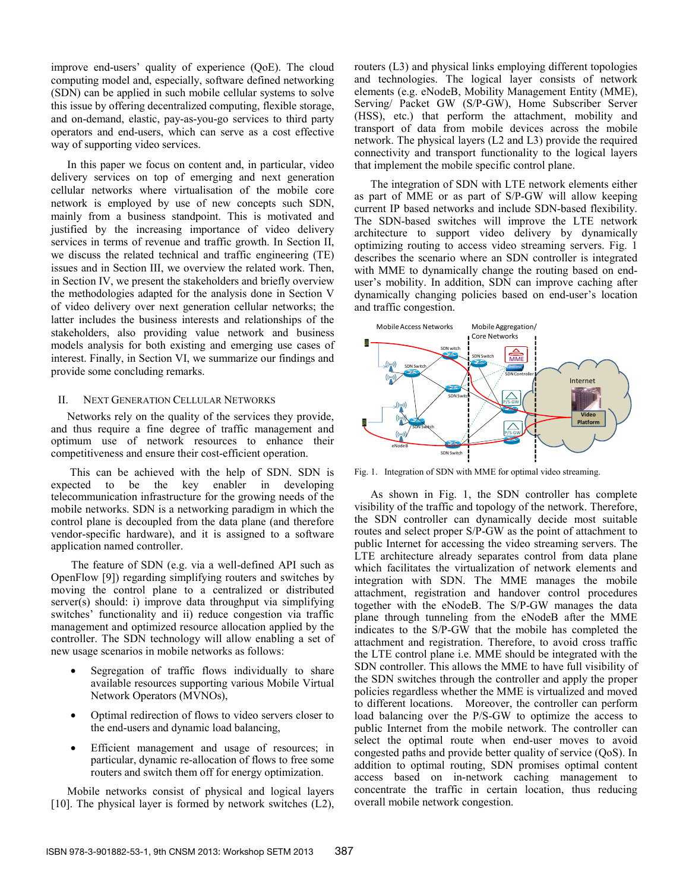improve end-users' quality of experience (QoE). The cloud computing model and, especially, software defined networking (SDN) can be applied in such mobile cellular systems to solve this issue by offering decentralized computing, flexible storage, and on-demand, elastic, pay-as-you-go services to third party operators and end-users, which can serve as a cost effective way of supporting video services.

In this paper we focus on content and, in particular, video delivery services on top of emerging and next generation cellular networks where virtualisation of the mobile core network is employed by use of new concepts such SDN, mainly from a business standpoint. This is motivated and justified by the increasing importance of video delivery services in terms of revenue and traffic growth. In Section II, we discuss the related technical and traffic engineering (TE) issues and in Section III, we overview the related work. Then, in Section IV, we present the stakeholders and briefly overview the methodologies adapted for the analysis done in Section V of video delivery over next generation cellular networks; the latter includes the business interests and relationships of the stakeholders, also providing value network and business models analysis for both existing and emerging use cases of interest. Finally, in Section VI, we summarize our findings and provide some concluding remarks.

#### II. NEXT GENERATION CELLULAR NETWORKS

Networks rely on the quality of the services they provide, and thus require a fine degree of traffic management and optimum use of network resources to enhance their competitiveness and ensure their cost-efficient operation.

 This can be achieved with the help of SDN. SDN is expected to be the key enabler in developing telecommunication infrastructure for the growing needs of the mobile networks. SDN is a networking paradigm in which the control plane is decoupled from the data plane (and therefore vendor-specific hardware), and it is assigned to a software application named controller.

The feature of SDN (e.g. via a well-defined API such as OpenFlow [9]) regarding simplifying routers and switches by moving the control plane to a centralized or distributed server(s) should: i) improve data throughput via simplifying switches' functionality and ii) reduce congestion via traffic management and optimized resource allocation applied by the controller. The SDN technology will allow enabling a set of new usage scenarios in mobile networks as follows:

- Segregation of traffic flows individually to share available resources supporting various Mobile Virtual Network Operators (MVNOs),
- Optimal redirection of flows to video servers closer to the end-users and dynamic load balancing,
- Efficient management and usage of resources; in particular, dynamic re-allocation of flows to free some routers and switch them off for energy optimization.

Mobile networks consist of physical and logical layers [10]. The physical layer is formed by network switches (L2), routers (L3) and physical links employing different topologies and technologies. The logical layer consists of network elements (e.g. eNodeB, Mobility Management Entity (MME), Serving/ Packet GW (S/P-GW), Home Subscriber Server (HSS), etc.) that perform the attachment, mobility and transport of data from mobile devices across the mobile network. The physical layers (L2 and L3) provide the required connectivity and transport functionality to the logical layers that implement the mobile specific control plane.

The integration of SDN with LTE network elements either as part of MME or as part of S/P-GW will allow keeping current IP based networks and include SDN-based flexibility. The SDN-based switches will improve the LTE network architecture to support video delivery by dynamically optimizing routing to access video streaming servers. Fig. 1 describes the scenario where an SDN controller is integrated with MME to dynamically change the routing based on enduser's mobility. In addition, SDN can improve caching after dynamically changing policies based on end-user's location and traffic congestion.



Fig. 1. Integration of SDN with MME for optimal video streaming.

As shown in Fig. 1, the SDN controller has complete visibility of the traffic and topology of the network. Therefore, the SDN controller can dynamically decide most suitable routes and select proper S/P-GW as the point of attachment to public Internet for accessing the video streaming servers. The LTE architecture already separates control from data plane which facilitates the virtualization of network elements and integration with SDN. The MME manages the mobile attachment, registration and handover control procedures together with the eNodeB. The S/P-GW manages the data plane through tunneling from the eNodeB after the MME indicates to the S/P-GW that the mobile has completed the attachment and registration. Therefore, to avoid cross traffic the LTE control plane i.e. MME should be integrated with the SDN controller. This allows the MME to have full visibility of the SDN switches through the controller and apply the proper policies regardless whether the MME is virtualized and moved to different locations. Moreover, the controller can perform load balancing over the P/S-GW to optimize the access to public Internet from the mobile network. The controller can select the optimal route when end-user moves to avoid congested paths and provide better quality of service (QoS). In addition to optimal routing, SDN promises optimal content access based on in-network caching management to concentrate the traffic in certain location, thus reducing overall mobile network congestion.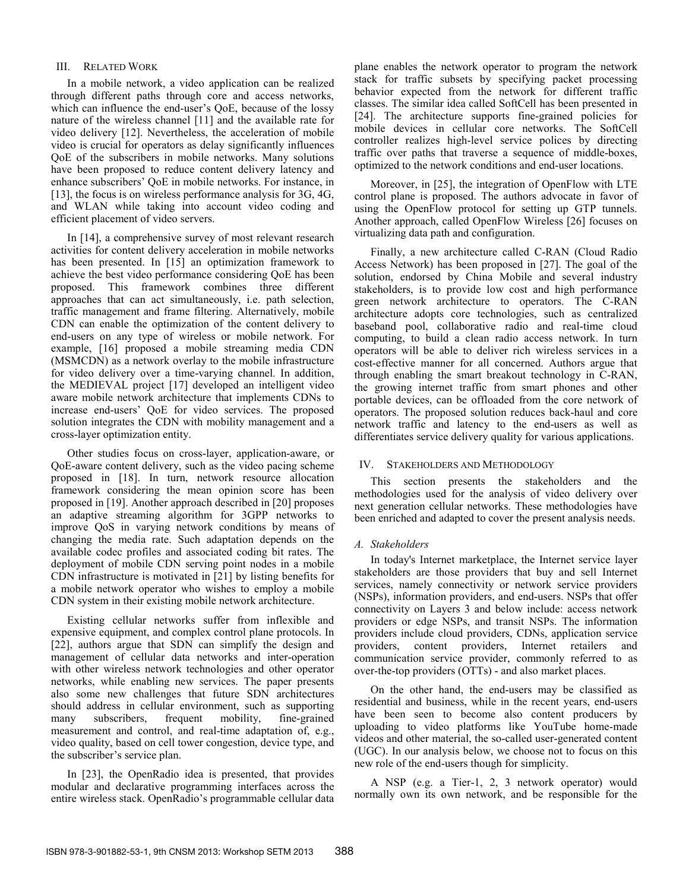# III. RELATED WORK

In a mobile network, a video application can be realized through different paths through core and access networks, which can influence the end-user's QoE, because of the lossy nature of the wireless channel [11] and the available rate for video delivery [12]. Nevertheless, the acceleration of mobile video is crucial for operators as delay significantly influences QoE of the subscribers in mobile networks. Many solutions have been proposed to reduce content delivery latency and enhance subscribers' QoE in mobile networks. For instance, in [13], the focus is on wireless performance analysis for 3G, 4G, and WLAN while taking into account video coding and efficient placement of video servers.

In [14], a comprehensive survey of most relevant research activities for content delivery acceleration in mobile networks has been presented. In [15] an optimization framework to achieve the best video performance considering QoE has been proposed. This framework combines three different approaches that can act simultaneously, i.e. path selection, traffic management and frame filtering. Alternatively, mobile CDN can enable the optimization of the content delivery to end-users on any type of wireless or mobile network. For example, [16] proposed a mobile streaming media CDN (MSMCDN) as a network overlay to the mobile infrastructure for video delivery over a time-varying channel. In addition, the MEDIEVAL project [17] developed an intelligent video aware mobile network architecture that implements CDNs to increase end-users' QoE for video services. The proposed solution integrates the CDN with mobility management and a cross-layer optimization entity.

Other studies focus on cross-layer, application-aware, or QoE-aware content delivery, such as the video pacing scheme proposed in [18]. In turn, network resource allocation framework considering the mean opinion score has been proposed in [19]. Another approach described in [20] proposes an adaptive streaming algorithm for 3GPP networks to improve QoS in varying network conditions by means of changing the media rate. Such adaptation depends on the available codec profiles and associated coding bit rates. The deployment of mobile CDN serving point nodes in a mobile CDN infrastructure is motivated in [21] by listing benefits for a mobile network operator who wishes to employ a mobile CDN system in their existing mobile network architecture.

Existing cellular networks suffer from inflexible and expensive equipment, and complex control plane protocols. In [22], authors argue that SDN can simplify the design and management of cellular data networks and inter-operation with other wireless network technologies and other operator networks, while enabling new services. The paper presents also some new challenges that future SDN architectures should address in cellular environment, such as supporting many subscribers, frequent mobility, fine-grained measurement and control, and real-time adaptation of, e.g., video quality, based on cell tower congestion, device type, and the subscriber's service plan.

In [23], the OpenRadio idea is presented, that provides modular and declarative programming interfaces across the entire wireless stack. OpenRadio's programmable cellular data plane enables the network operator to program the network stack for traffic subsets by specifying packet processing behavior expected from the network for different traffic classes. The similar idea called SoftCell has been presented in [24]. The architecture supports fine-grained policies for mobile devices in cellular core networks. The SoftCell controller realizes high-level service polices by directing traffic over paths that traverse a sequence of middle-boxes, optimized to the network conditions and end-user locations.

Moreover, in [25], the integration of OpenFlow with LTE control plane is proposed. The authors advocate in favor of using the OpenFlow protocol for setting up GTP tunnels. Another approach, called OpenFlow Wireless [26] focuses on virtualizing data path and configuration.

Finally, a new architecture called C-RAN (Cloud Radio Access Network) has been proposed in [27]. The goal of the solution, endorsed by China Mobile and several industry stakeholders, is to provide low cost and high performance green network architecture to operators. The C-RAN architecture adopts core technologies, such as centralized baseband pool, collaborative radio and real-time cloud computing, to build a clean radio access network. In turn operators will be able to deliver rich wireless services in a cost-effective manner for all concerned. Authors argue that through enabling the smart breakout technology in C-RAN, the growing internet traffic from smart phones and other portable devices, can be offloaded from the core network of operators. The proposed solution reduces back-haul and core network traffic and latency to the end-users as well as differentiates service delivery quality for various applications.

# IV. STAKEHOLDERS AND METHODOLOGY

This section presents the stakeholders and the methodologies used for the analysis of video delivery over next generation cellular networks. These methodologies have been enriched and adapted to cover the present analysis needs.

## *A. Stakeholders*

In today's Internet marketplace, the Internet service layer stakeholders are those providers that buy and sell Internet services, namely connectivity or network service providers (NSPs), information providers, and end-users. NSPs that offer connectivity on Layers 3 and below include: access network providers or edge NSPs, and transit NSPs. The information providers include cloud providers, CDNs, application service providers, content providers, Internet retailers and communication service provider, commonly referred to as over-the-top providers (OTTs) - and also market places.

On the other hand, the end-users may be classified as residential and business, while in the recent years, end-users have been seen to become also content producers by uploading to video platforms like YouTube home-made videos and other material, the so-called user-generated content (UGC). In our analysis below, we choose not to focus on this new role of the end-users though for simplicity.

A NSP (e.g. a Tier-1, 2, 3 network operator) would normally own its own network, and be responsible for the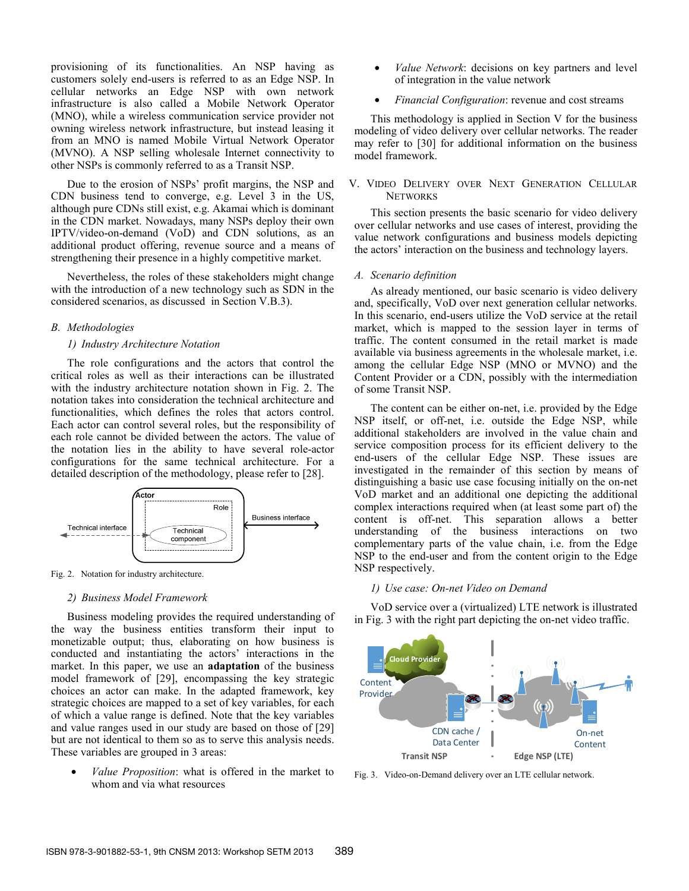provisioning of its functionalities. An NSP having as customers solely end-users is referred to as an Edge NSP. In cellular networks an Edge NSP with own network infrastructure is also called a Mobile Network Operator (MNO), while a wireless communication service provider not owning wireless network infrastructure, but instead leasing it from an MNO is named Mobile Virtual Network Operator (MVNO). A NSP selling wholesale Internet connectivity to other NSPs is commonly referred to as a Transit NSP.

Due to the erosion of NSPs' profit margins, the NSP and CDN business tend to converge, e.g. Level 3 in the US, although pure CDNs still exist, e.g. Akamai which is dominant in the CDN market. Nowadays, many NSPs deploy their own IPTV/video-on-demand (VoD) and CDN solutions, as an additional product offering, revenue source and a means of strengthening their presence in a highly competitive market.

Nevertheless, the roles of these stakeholders might change with the introduction of a new technology such as SDN in the considered scenarios, as discussed in Section V.B.3).

## *B. Methodologies*

## *1) Industry Architecture Notation*

The role configurations and the actors that control the critical roles as well as their interactions can be illustrated with the industry architecture notation shown in Fig. 2. The notation takes into consideration the technical architecture and functionalities, which defines the roles that actors control. Each actor can control several roles, but the responsibility of each role cannot be divided between the actors. The value of the notation lies in the ability to have several role-actor configurations for the same technical architecture. For a detailed description of the methodology, please refer to [28].



Fig. 2. Notation for industry architecture.

#### *2) Business Model Framework*

Business modeling provides the required understanding of the way the business entities transform their input to monetizable output; thus, elaborating on how business is conducted and instantiating the actors' interactions in the market. In this paper, we use an **adaptation** of the business model framework of [29], encompassing the key strategic choices an actor can make. In the adapted framework, key strategic choices are mapped to a set of key variables, for each of which a value range is defined. Note that the key variables and value ranges used in our study are based on those of [29] but are not identical to them so as to serve this analysis needs. These variables are grouped in 3 areas:

• *Value Proposition*: what is offered in the market to whom and via what resources

- *Value Network*: decisions on key partners and level of integration in the value network
- *Financial Configuration*: revenue and cost streams

This methodology is applied in Section V for the business modeling of video delivery over cellular networks. The reader may refer to [30] for additional information on the business model framework.

# V. VIDEO DELIVERY OVER NEXT GENERATION CELLULAR **NETWORKS**

This section presents the basic scenario for video delivery over cellular networks and use cases of interest, providing the value network configurations and business models depicting the actors' interaction on the business and technology layers.

## *A. Scenario definition*

As already mentioned, our basic scenario is video delivery and, specifically, VoD over next generation cellular networks. In this scenario, end-users utilize the VoD service at the retail market, which is mapped to the session layer in terms of traffic. The content consumed in the retail market is made available via business agreements in the wholesale market, i.e. among the cellular Edge NSP (MNO or MVNO) and the Content Provider or a CDN, possibly with the intermediation of some Transit NSP.

The content can be either on-net, i.e. provided by the Edge NSP itself, or off-net, i.e. outside the Edge NSP, while additional stakeholders are involved in the value chain and service composition process for its efficient delivery to the end-users of the cellular Edge NSP. These issues are investigated in the remainder of this section by means of distinguishing a basic use case focusing initially on the on-net VoD market and an additional one depicting the additional complex interactions required when (at least some part of) the content is off-net. This separation allows a better understanding of the business interactions on two complementary parts of the value chain, i.e. from the Edge NSP to the end-user and from the content origin to the Edge NSP respectively.

## *1) Use case: On-net Video on Demand*

VoD service over a (virtualized) LTE network is illustrated in Fig. 3 with the right part depicting the on-net video traffic.



Fig. 3. Video-on-Demand delivery over an LTE cellular network.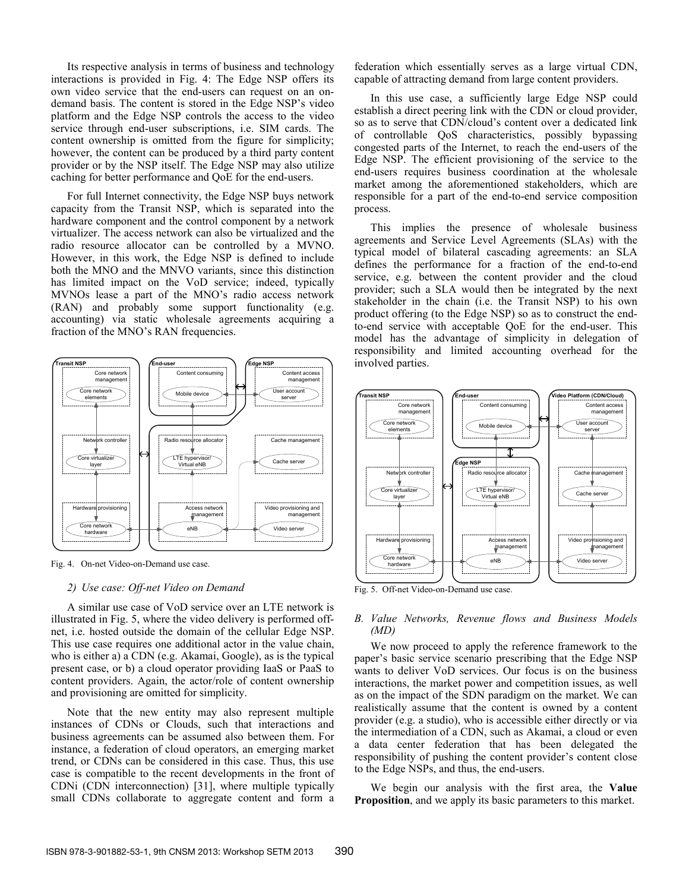Its respective analysis in terms of business and technology interactions is provided in Fig. 4: The Edge NSP offers its own video service that the end-users can request on an ondemand basis. The content is stored in the Edge NSP's video platform and the Edge NSP controls the access to the video service through end-user subscriptions, i.e. SIM cards. The content ownership is omitted from the figure for simplicity; however, the content can be produced by a third party content provider or by the NSP itself. The Edge NSP may also utilize caching for better performance and QoE for the end-users.

For full Internet connectivity, the Edge NSP buys network capacity from the Transit NSP, which is separated into the hardware component and the control component by a network virtualizer. The access network can also be virtualized and the radio resource allocator can be controlled by a MVNO. However, in this work, the Edge NSP is defined to include both the MNO and the MNVO variants, since this distinction has limited impact on the VoD service; indeed, typically MVNOs lease a part of the MNO's radio access network (RAN) and probably some support functionality (e.g. accounting) via static wholesale agreements acquiring a fraction of the MNO's RAN frequencies.



Fig. 4. On-net Video-on-Demand use case.

# *2) Use case: Off-net Video on Demand*

A similar use case of VoD service over an LTE network is illustrated in Fig. 5, where the video delivery is performed offnet, i.e. hosted outside the domain of the cellular Edge NSP. This use case requires one additional actor in the value chain, who is either a) a CDN (e.g. Akamai, Google), as is the typical present case, or b) a cloud operator providing IaaS or PaaS to content providers. Again, the actor/role of content ownership and provisioning are omitted for simplicity.

Note that the new entity may also represent multiple instances of CDNs or Clouds, such that interactions and business agreements can be assumed also between them. For instance, a federation of cloud operators, an emerging market trend, or CDNs can be considered in this case. Thus, this use case is compatible to the recent developments in the front of CDNi (CDN interconnection) [31], where multiple typically small CDNs collaborate to aggregate content and form a

federation which essentially serves as a large virtual CDN, capable of attracting demand from large content providers.

In this use case, a sufficiently large Edge NSP could establish a direct peering link with the CDN or cloud provider, so as to serve that CDN/cloud's content over a dedicated link of controllable QoS characteristics, possibly bypassing congested parts of the Internet, to reach the end-users of the Edge NSP. The efficient provisioning of the service to the end-users requires business coordination at the wholesale market among the aforementioned stakeholders, which are responsible for a part of the end-to-end service composition process.

This implies the presence of wholesale business agreements and Service Level Agreements (SLAs) with the typical model of bilateral cascading agreements: an SLA defines the performance for a fraction of the end-to-end service, e.g. between the content provider and the cloud provider; such a SLA would then be integrated by the next stakeholder in the chain (i.e. the Transit NSP) to his own product offering (to the Edge NSP) so as to construct the endto-end service with acceptable QoE for the end-user. This model has the advantage of simplicity in delegation of responsibility and limited accounting overhead for the involved parties.

![](_page_4_Figure_10.jpeg)

Fig. 5. Off-net Video-on-Demand use case.

# *B. Value Networks, Revenue flows and Business Models (MD)*

We now proceed to apply the reference framework to the paper's basic service scenario prescribing that the Edge NSP wants to deliver VoD services. Our focus is on the business interactions, the market power and competition issues, as well as on the impact of the SDN paradigm on the market. We can realistically assume that the content is owned by a content provider (e.g. a studio), who is accessible either directly or via the intermediation of a CDN, such as Akamai, a cloud or even a data center federation that has been delegated the responsibility of pushing the content provider's content close to the Edge NSPs, and thus, the end-users.

We begin our analysis with the first area, the **Value Proposition**, and we apply its basic parameters to this market.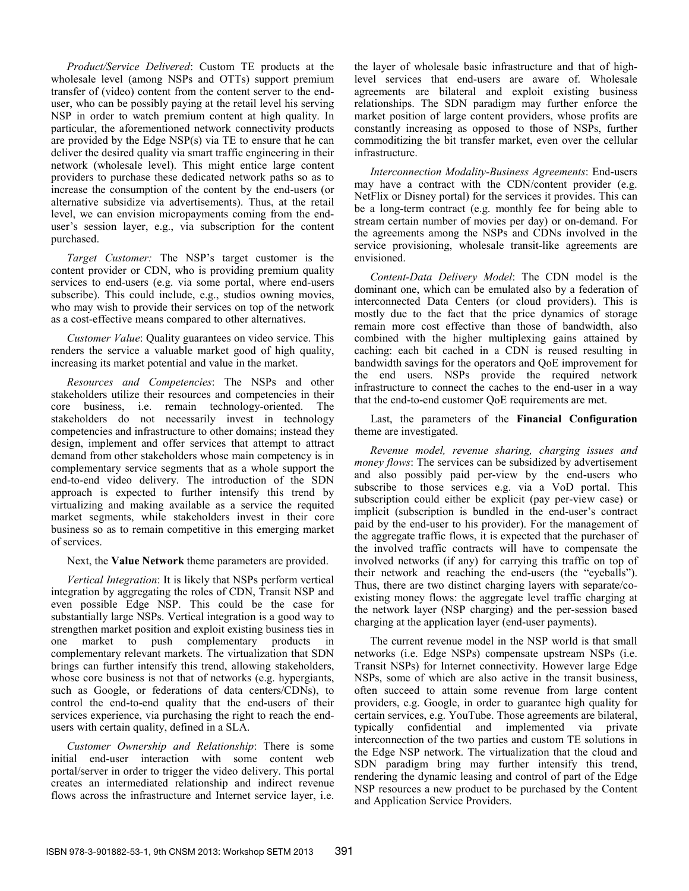*Product/Service Delivered*: Custom TE products at the wholesale level (among NSPs and OTTs) support premium transfer of (video) content from the content server to the enduser, who can be possibly paying at the retail level his serving NSP in order to watch premium content at high quality. In particular, the aforementioned network connectivity products are provided by the Edge NSP(s) via TE to ensure that he can deliver the desired quality via smart traffic engineering in their network (wholesale level). This might entice large content providers to purchase these dedicated network paths so as to increase the consumption of the content by the end-users (or alternative subsidize via advertisements). Thus, at the retail level, we can envision micropayments coming from the enduser's session layer, e.g., via subscription for the content purchased.

*Target Customer:* The NSP's target customer is the content provider or CDN, who is providing premium quality services to end-users (e.g. via some portal, where end-users subscribe). This could include, e.g., studios owning movies, who may wish to provide their services on top of the network as a cost-effective means compared to other alternatives.

*Customer Value*: Quality guarantees on video service. This renders the service a valuable market good of high quality, increasing its market potential and value in the market.

*Resources and Competencies*: The NSPs and other stakeholders utilize their resources and competencies in their core business, i.e. remain technology-oriented. The stakeholders do not necessarily invest in technology competencies and infrastructure to other domains; instead they design, implement and offer services that attempt to attract demand from other stakeholders whose main competency is in complementary service segments that as a whole support the end-to-end video delivery. The introduction of the SDN approach is expected to further intensify this trend by virtualizing and making available as a service the requited market segments, while stakeholders invest in their core business so as to remain competitive in this emerging market of services.

Next, the **Value Network** theme parameters are provided.

*Vertical Integration*: It is likely that NSPs perform vertical integration by aggregating the roles of CDN, Transit NSP and even possible Edge NSP. This could be the case for substantially large NSPs. Vertical integration is a good way to strengthen market position and exploit existing business ties in one market to push complementary products in complementary relevant markets. The virtualization that SDN brings can further intensify this trend, allowing stakeholders, whose core business is not that of networks (e.g. hypergiants, such as Google, or federations of data centers/CDNs), to control the end-to-end quality that the end-users of their services experience, via purchasing the right to reach the endusers with certain quality, defined in a SLA.

*Customer Ownership and Relationship*: There is some initial end-user interaction with some content web portal/server in order to trigger the video delivery. This portal creates an intermediated relationship and indirect revenue flows across the infrastructure and Internet service layer, i.e.

the layer of wholesale basic infrastructure and that of highlevel services that end-users are aware of. Wholesale agreements are bilateral and exploit existing business relationships. The SDN paradigm may further enforce the market position of large content providers, whose profits are constantly increasing as opposed to those of NSPs, further commoditizing the bit transfer market, even over the cellular infrastructure.

*Interconnection Modality-Business Agreements*: End-users may have a contract with the CDN/content provider (e.g. NetFlix or Disney portal) for the services it provides. This can be a long-term contract (e.g. monthly fee for being able to stream certain number of movies per day) or on-demand. For the agreements among the NSPs and CDNs involved in the service provisioning, wholesale transit-like agreements are envisioned.

*Content-Data Delivery Model*: The CDN model is the dominant one, which can be emulated also by a federation of interconnected Data Centers (or cloud providers). This is mostly due to the fact that the price dynamics of storage remain more cost effective than those of bandwidth, also combined with the higher multiplexing gains attained by caching: each bit cached in a CDN is reused resulting in bandwidth savings for the operators and QoE improvement for the end users. NSPs provide the required network infrastructure to connect the caches to the end-user in a way that the end-to-end customer QoE requirements are met.

Last, the parameters of the **Financial Configuration** theme are investigated.

*Revenue model, revenue sharing, charging issues and money flows*: The services can be subsidized by advertisement and also possibly paid per-view by the end-users who subscribe to those services e.g. via a VoD portal. This subscription could either be explicit (pay per-view case) or implicit (subscription is bundled in the end-user's contract paid by the end-user to his provider). For the management of the aggregate traffic flows, it is expected that the purchaser of the involved traffic contracts will have to compensate the involved networks (if any) for carrying this traffic on top of their network and reaching the end-users (the "eyeballs"). Thus, there are two distinct charging layers with separate/coexisting money flows: the aggregate level traffic charging at the network layer (NSP charging) and the per-session based charging at the application layer (end-user payments).

The current revenue model in the NSP world is that small networks (i.e. Edge NSPs) compensate upstream NSPs (i.e. Transit NSPs) for Internet connectivity. However large Edge NSPs, some of which are also active in the transit business, often succeed to attain some revenue from large content providers, e.g. Google, in order to guarantee high quality for certain services, e.g. YouTube. Those agreements are bilateral, typically confidential and implemented via private interconnection of the two parties and custom TE solutions in the Edge NSP network. The virtualization that the cloud and SDN paradigm bring may further intensify this trend, rendering the dynamic leasing and control of part of the Edge NSP resources a new product to be purchased by the Content and Application Service Providers.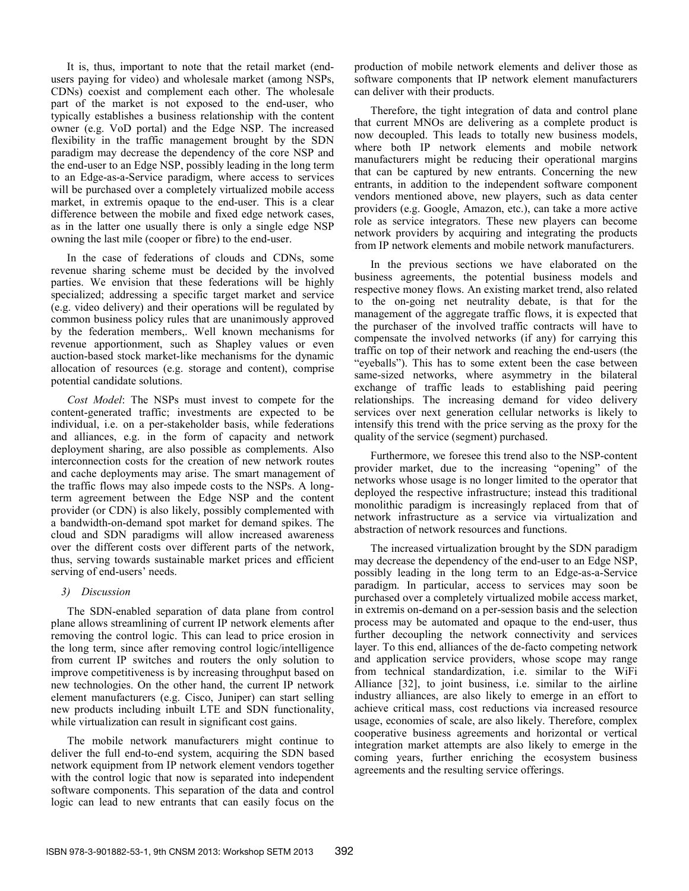It is, thus, important to note that the retail market (endusers paying for video) and wholesale market (among NSPs, CDNs) coexist and complement each other. The wholesale part of the market is not exposed to the end-user, who typically establishes a business relationship with the content owner (e.g. VoD portal) and the Edge NSP. The increased flexibility in the traffic management brought by the SDN paradigm may decrease the dependency of the core NSP and the end-user to an Edge NSP, possibly leading in the long term to an Edge-as-a-Service paradigm, where access to services will be purchased over a completely virtualized mobile access market, in extremis opaque to the end-user. This is a clear difference between the mobile and fixed edge network cases, as in the latter one usually there is only a single edge NSP owning the last mile (cooper or fibre) to the end-user.

In the case of federations of clouds and CDNs, some revenue sharing scheme must be decided by the involved parties. We envision that these federations will be highly specialized; addressing a specific target market and service (e.g. video delivery) and their operations will be regulated by common business policy rules that are unanimously approved by the federation members,. Well known mechanisms for revenue apportionment, such as Shapley values or even auction-based stock market-like mechanisms for the dynamic allocation of resources (e.g. storage and content), comprise potential candidate solutions.

*Cost Model*: The NSPs must invest to compete for the content-generated traffic; investments are expected to be individual, i.e. on a per-stakeholder basis, while federations and alliances, e.g. in the form of capacity and network deployment sharing, are also possible as complements. Also interconnection costs for the creation of new network routes and cache deployments may arise. The smart management of the traffic flows may also impede costs to the NSPs. A longterm agreement between the Edge NSP and the content provider (or CDN) is also likely, possibly complemented with a bandwidth-on-demand spot market for demand spikes. The cloud and SDN paradigms will allow increased awareness over the different costs over different parts of the network, thus, serving towards sustainable market prices and efficient serving of end-users' needs.

# *3) Discussion*

The SDN-enabled separation of data plane from control plane allows streamlining of current IP network elements after removing the control logic. This can lead to price erosion in the long term, since after removing control logic/intelligence from current IP switches and routers the only solution to improve competitiveness is by increasing throughput based on new technologies. On the other hand, the current IP network element manufacturers (e.g. Cisco, Juniper) can start selling new products including inbuilt LTE and SDN functionality, while virtualization can result in significant cost gains.

The mobile network manufacturers might continue to deliver the full end-to-end system, acquiring the SDN based network equipment from IP network element vendors together with the control logic that now is separated into independent software components. This separation of the data and control logic can lead to new entrants that can easily focus on the

production of mobile network elements and deliver those as software components that IP network element manufacturers can deliver with their products.

Therefore, the tight integration of data and control plane that current MNOs are delivering as a complete product is now decoupled. This leads to totally new business models, where both IP network elements and mobile network manufacturers might be reducing their operational margins that can be captured by new entrants. Concerning the new entrants, in addition to the independent software component vendors mentioned above, new players, such as data center providers (e.g. Google, Amazon, etc.), can take a more active role as service integrators. These new players can become network providers by acquiring and integrating the products from IP network elements and mobile network manufacturers.

In the previous sections we have elaborated on the business agreements, the potential business models and respective money flows. An existing market trend, also related to the on-going net neutrality debate, is that for the management of the aggregate traffic flows, it is expected that the purchaser of the involved traffic contracts will have to compensate the involved networks (if any) for carrying this traffic on top of their network and reaching the end-users (the "eyeballs"). This has to some extent been the case between same-sized networks, where asymmetry in the bilateral exchange of traffic leads to establishing paid peering relationships. The increasing demand for video delivery services over next generation cellular networks is likely to intensify this trend with the price serving as the proxy for the quality of the service (segment) purchased.

Furthermore, we foresee this trend also to the NSP-content provider market, due to the increasing "opening" of the networks whose usage is no longer limited to the operator that deployed the respective infrastructure; instead this traditional monolithic paradigm is increasingly replaced from that of network infrastructure as a service via virtualization and abstraction of network resources and functions.

The increased virtualization brought by the SDN paradigm may decrease the dependency of the end-user to an Edge NSP, possibly leading in the long term to an Edge-as-a-Service paradigm. In particular, access to services may soon be purchased over a completely virtualized mobile access market, in extremis on-demand on a per-session basis and the selection process may be automated and opaque to the end-user, thus further decoupling the network connectivity and services layer. To this end, alliances of the de-facto competing network and application service providers, whose scope may range from technical standardization, i.e. similar to the WiFi Alliance [32], to joint business, i.e. similar to the airline industry alliances, are also likely to emerge in an effort to achieve critical mass, cost reductions via increased resource usage, economies of scale, are also likely. Therefore, complex cooperative business agreements and horizontal or vertical integration market attempts are also likely to emerge in the coming years, further enriching the ecosystem business agreements and the resulting service offerings.